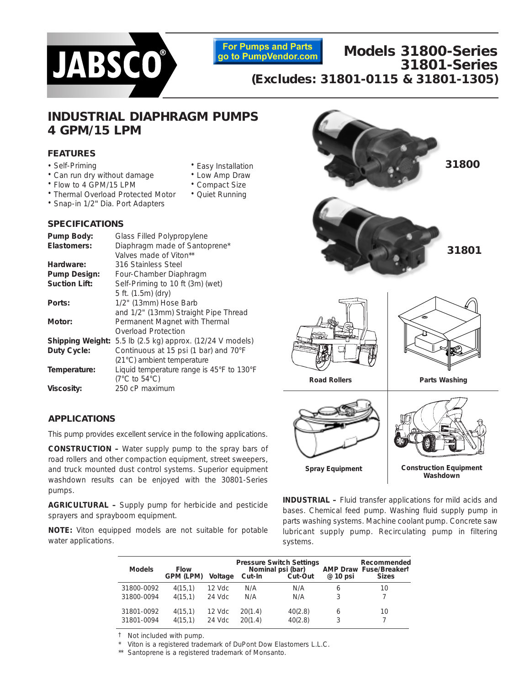

**For Pumps and Parts** go to PumpVendor.com

• Easy Installation • Low Amp Draw • Compact Size • Quiet Running

**Models 31800-Series 31801-Series (Excludes: 31801-0115 & 31801-1305)**

**INDUSTRIAL DIAPHRAGM PUMPS 4 GPM/15 LPM**

## **FEATURES**

- Self-Priming
- Can run dry without damage
- Flow to 4 GPM/15 LPM
- Thermal Overload Protected Motor
- Snap-in 1/2*"* Dia. Port Adapters

## **SPECIFICATIONS**

| Pump Body:              | Glass Filled Polypropylene                |
|-------------------------|-------------------------------------------|
| Elastomers:             | Diaphragm made of Santoprene*             |
|                         | Valves made of Viton**                    |
| Hardware:               | 316 Stainless Steel                       |
| <b>Pump Design:</b>     | Four-Chamber Diaphragm                    |
| <b>Suction Lift:</b>    | Self-Priming to 10 ft (3m) (wet)          |
|                         | 5 ft. (1.5m) (dry)                        |
| Ports:                  | 1/2" (13mm) Hose Barb                     |
|                         | and 1/2" (13mm) Straight Pipe Thread      |
| Motor:                  | Permanent Magnet with Thermal             |
|                         | Overload Protection                       |
| <b>Shipping Weight:</b> | 5.5 lb (2.5 kg) approx. (12/24 V models)  |
| Duty Cycle:             | Continuous at 15 psi (1 bar) and 70°F     |
|                         | (21°C) ambient temperature                |
| Temperature:            | Liquid temperature range is 45°F to 130°F |
|                         | $(7^{\circ}$ C to 54 $^{\circ}$ C)        |
| <b>Viscosity:</b>       | 250 cP maximum                            |

## **APPLICATIONS**

This pump provides excellent service in the following applications.

**CONSTRUCTION –** Water supply pump to the spray bars of road rollers and other compaction equipment, street sweepers, and truck mounted dust control systems. Superior equipment washdown results can be enjoyed with the 30801-Series pumps.

**AGRICULTURAL –** Supply pump for herbicide and pesticide sprayers and sprayboom equipment.

**NOTE:** Viton equipped models are not suitable for potable water applications.



**INDUSTRIAL –** Fluid transfer applications for mild acids and bases. Chemical feed pump. Washing fluid supply pump in parts washing systems. Machine coolant pump. Concrete saw lubricant supply pump. Recirculating pump in filtering systems.

| <b>Models</b> | <b>Flow</b><br><b>GPM (LPM)</b> | Voltage  | Cut-In  | <b>Pressure Switch Settings</b><br>Nominal psi (bar)<br>Cut-Out | @ 10 psi | Recommended<br><b>AMP Draw Fuse/Breakert</b><br><b>Sizes</b> |
|---------------|---------------------------------|----------|---------|-----------------------------------------------------------------|----------|--------------------------------------------------------------|
| 31800-0092    | 4(15,1)                         | $12$ Vdc | N/A     | N/A                                                             | 6        | 10                                                           |
| 31800-0094    | 4(15,1)                         | $24$ Vdc | N/A     | N/A                                                             | 3        |                                                              |
| 31801-0092    | 4(15,1)                         | 12 Vdc   | 20(1.4) | 40(2.8)                                                         | 6        | 10                                                           |
| 31801-0094    | 4(15,1)                         | 24 Vdc   | 20(1.4) | 40(2.8)                                                         | 3        |                                                              |

Not included with pump.

Viton is a registered trademark of DuPont Dow Elastomers L.L.C.

\*\* Santoprene is a registered trademark of Monsanto.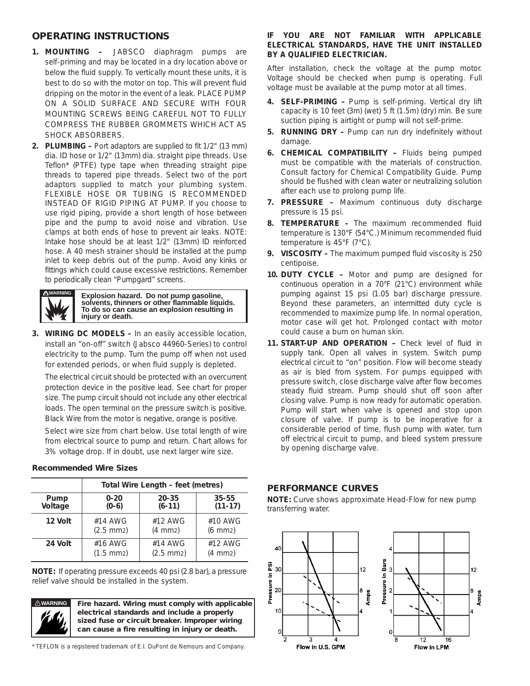# **OPERATING INSTRUCTIONS**

- **1. MOUNTING –** JABSCO diaphragm pumps are self-priming and may be located in a dry location above or below the fluid supply. To vertically mount these units, it is best to do so with the motor on top. This will prevent fluid dripping on the motor in the event of a leak. PLACE PUMP ON A SOLID SURFACE AND SECURE WITH FOUR MOUNTING SCREWS BEING CAREFUL NOT TO FULLY COMPRESS THE RUBBER GROMMETS WHICH ACT AS SHOCK ABSORBERS.
- **2. PLUMBING** Port adaptors are supplied to fit 1/2" (13 mm) dia. ID hose or 1/2" (13mm) dia. straight pipe threads. Use Teflon\* (PTFE) type tape when threading straight pipe threads to tapered pipe threads. Select two of the port adaptors supplied to match your plumbing system. FLEXIBLE HOSE OR TUBING IS RECOMMENDED INSTEAD OF RIGID PIPING AT PUMP. If you choose to use rigid piping, provide a short length of hose between pipe and the pump to avoid noise and vibration. Use clamps at both ends of hose to prevent air leaks. NOTE: Intake hose should be at least 1/2" (13mm) ID reinforced hose. A 40 mesh strainer should be installed at the pump inlet to keep debris out of the pump. Avoid any kinks or fittings which could cause excessive restrictions. Remember to periodically clean "Pumpgard" screens.



**Explosion hazard. Do not pump gasoline, solvents, thinners or other flammable liquids. To do so can cause an explosion resulting in injury or death.** 

**3. WIRING DC MODELS –** In an easily accessible location, install an "on-off" switch (Jabsco 44960-Series) to control electricity to the pump. Turn the pump off when not used for extended periods, or when fluid supply is depleted.

The electrical circuit should be protected with an overcurrent protection device in the positive lead. See chart for proper size. The pump circuit should not include any other electrical loads. The open terminal on the pressure switch is positive. Black Wire from the motor is negative, orange is positive. Select wire size from chart below. Use total length of wire from electrical source to pump and return. Chart allows for 3% voltage drop. If in doubt, use next larger wire size.

## **Recommended Wire Sizes**

|         | Total Wire Length - feet (metres) |                       |                   |  |  |
|---------|-----------------------------------|-----------------------|-------------------|--|--|
| Pump    | $0 - 20$                          | $20 - 35$             | $35 - 55$         |  |  |
| Voltage | $(0-6)$                           | $(6-11)$              | $(11-17)$         |  |  |
| 12 Volt | #14 AWG                           | #12 AWG               | #10 AWG           |  |  |
|         | $(2.5 \text{ mm})$                | (4 mm <sub>2</sub> )  | $(6 \text{ mm2})$ |  |  |
| 24 Volt | #16 AWG                           | #14 AWG               | #12 AWG           |  |  |
|         | $(1.5 \text{ mm})$                | $(2.5 \, \text{mm2})$ | $(4 \text{ mm2})$ |  |  |

**NOTE:** If operating pressure exceeds 40 psi (2.8 bar), a pressure relief valve should be installed in the system.



**Fire hazard. Wiring must comply with applicable electrical standards and include a properly sized fuse or circuit breaker. Improper wiring can cause a fire resulting in injury or death.**

\* TEFLON is a registered trademark of E.I. DuPont de Nemours and Company.

#### **IF YOU ARE NOT FAMILIAR WITH APPLICABLE ELECTRICAL STANDARDS, HAVE THE UNIT INSTALLED BY A QUALIFIED ELECTRICIAN.**

After installation, check the voltage at the pump motor. Voltage should be checked when pump is operating. Full voltage must be available at the pump motor at all times.

- **4. SELF-PRIMING –** Pump is self-priming. Vertical dry lift capacity is 10 feet (3m) (wet) 5 ft (1.5m) (dry) min. Be sure suction piping is airtight or pump will not self-prime.
- **5. RUNNING DRY –** Pump can run dry indefinitely without damage.
- **6. CHEMICAL COMPATIBILITY –** Fluids being pumped must be compatible with the materials of construction. Consult factory for Chemical Compatibility Guide. Pump should be flushed with clean water or neutralizing solution after each use to prolong pump life.
- **7. PRESSURE –** Maximum continuous duty discharge pressure is 15 psi.
- **8. TEMPERATURE –** The maximum recommended fluid temperature is 130°F (54°C.) Minimum recommended fluid temperature is 45°F (7°C).
- **9. VISCOSITY –** The maximum pumped fluid viscosity is 250 centipoise.
- **10. DUTY CYCLE –** Motor and pump are designed for continuous operation in a 70°F (21°C) environment while pumping against 15 psi (1.05 bar) discharge pressure. Beyond these parameters, an intermitted duty cycle is recommended to maximize pump life. In normal operation, motor case will get hot. Prolonged contact with motor could cause a burn on human skin.
- **11. START-UP AND OPERATION –** Check level of fluid in supply tank. Open all valves in system. Switch pump electrical circuit to "on" position. Flow will become steady as air is bled from system. For pumps equipped with pressure switch, close discharge valve after flow becomes steady fluid stream. Pump should shut off soon after closing valve. Pump is now ready for automatic operation. Pump will start when valve is opened and stop upon closure of valve. If pump is to be inoperative for a considerable period of time, flush pump with water, turn off electrical circuit to pump, and bleed system pressure by opening discharge valve.

## **PERFORMANCE CURVES**

**NOTE:** Curve shows approximate Head-Flow for new pump transferring water.

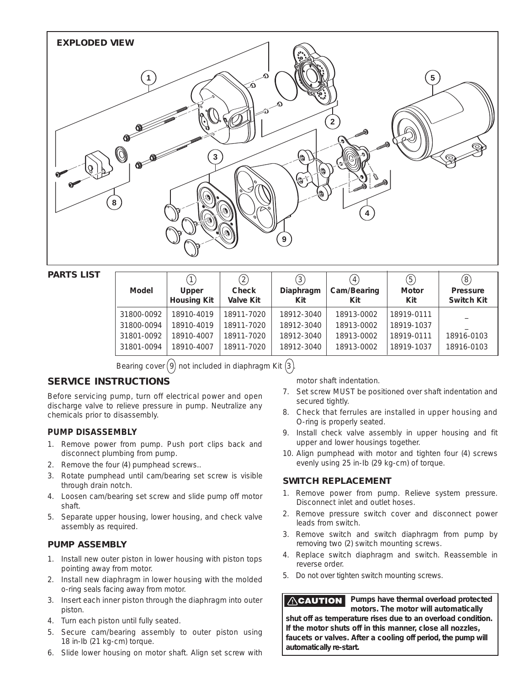

#### **PARTS LIST**

| Model      | Upper<br><b>Housing Kit</b> | (2)<br>Check<br><b>Valve Kit</b> | (3)<br>Diaphragm<br>Kit | $\overline{4}$<br>Cam/Bearing<br>Kit | (5)<br>Motor<br>Kit | (8)<br><b>Pressure</b><br><b>Switch Kit</b> |
|------------|-----------------------------|----------------------------------|-------------------------|--------------------------------------|---------------------|---------------------------------------------|
| 31800-0092 | 18910-4019                  | 18911-7020                       | 18912-3040              | 18913-0002                           | 18919-0111          |                                             |
| 31800-0094 | 18910-4019                  | 18911-7020                       | 18912-3040              | 18913-0002                           | 18919-1037          |                                             |
| 31801-0092 | 18910-4007                  | 18911-7020                       | 18912-3040              | 18913-0002                           | 18919-0111          | 18916-0103                                  |
| 31801-0094 | 18910-4007                  | 18911-7020                       | 18912-3040              | 18913-0002                           | 18919-1037          | 18916-0103                                  |

Bearing cover  $(9)$  not included in diaphragm Kit  $(3)$ .

# **SERVICE INSTRUCTIONS**

Before servicing pump, turn off electrical power and open discharge valve to relieve pressure in pump. Neutralize any chemicals prior to disassembly.

#### **PUMP DISASSEMBLY**

- 1. Remove power from pump. Push port clips back and disconnect plumbing from pump.
- 2. Remove the four (4) pumphead screws..
- 3. Rotate pumphead until cam/bearing set screw is visible through drain notch.
- 4. Loosen cam/bearing set screw and slide pump off motor shaft.
- 5. Separate upper housing, lower housing, and check valve assembly as required.

## **PUMP ASSEMBLY**

- 1. Install new outer piston in lower housing with piston tops pointing away from motor.
- 2. Install new diaphragm in lower housing with the molded o-ring seals facing away from motor.
- 3. Insert each inner piston through the diaphragm into outer piston.
- 4. Turn each piston until fully seated.
- 5. Secure cam/bearing assembly to outer piston using 18 in-Ib (21 kg-cm) torque.
- 6. Slide lower housing on motor shaft. Align set screw with

motor shaft indentation.

- 7. Set screw MUST be positioned over shaft indentation and secured tightly.
- 8. Check that ferrules are installed in upper housing and O-ring is properly seated.
- 9. Install check valve assembly in upper housing and fit upper and lower housings together.
- 10. Align pumphead with motor and tighten four (4) screws evenly using 25 in-Ib (29 kg-cm) of torque.

## **SWITCH REPLACEMENT**

- 1. Remove power from pump. Relieve system pressure. Disconnect inlet and outlet hoses.
- 2. Remove pressure switch cover and disconnect power leads from switch.
- 3. Remove switch and switch diaphragm from pump by removing two (2) switch mounting screws.
- 4. Replace switch diaphragm and switch. Reassemble in reverse order.
- 5. Do not over tighten switch mounting screws.

**Pumps have thermal overload protected**  $\triangle$ CAUTION **motors. The motor will automatically shut off as temperature rises due to an overload condition. If the motor shuts off in this manner, close all nozzles, faucets or valves. After a cooling off period, the pump will automatically re-start.**